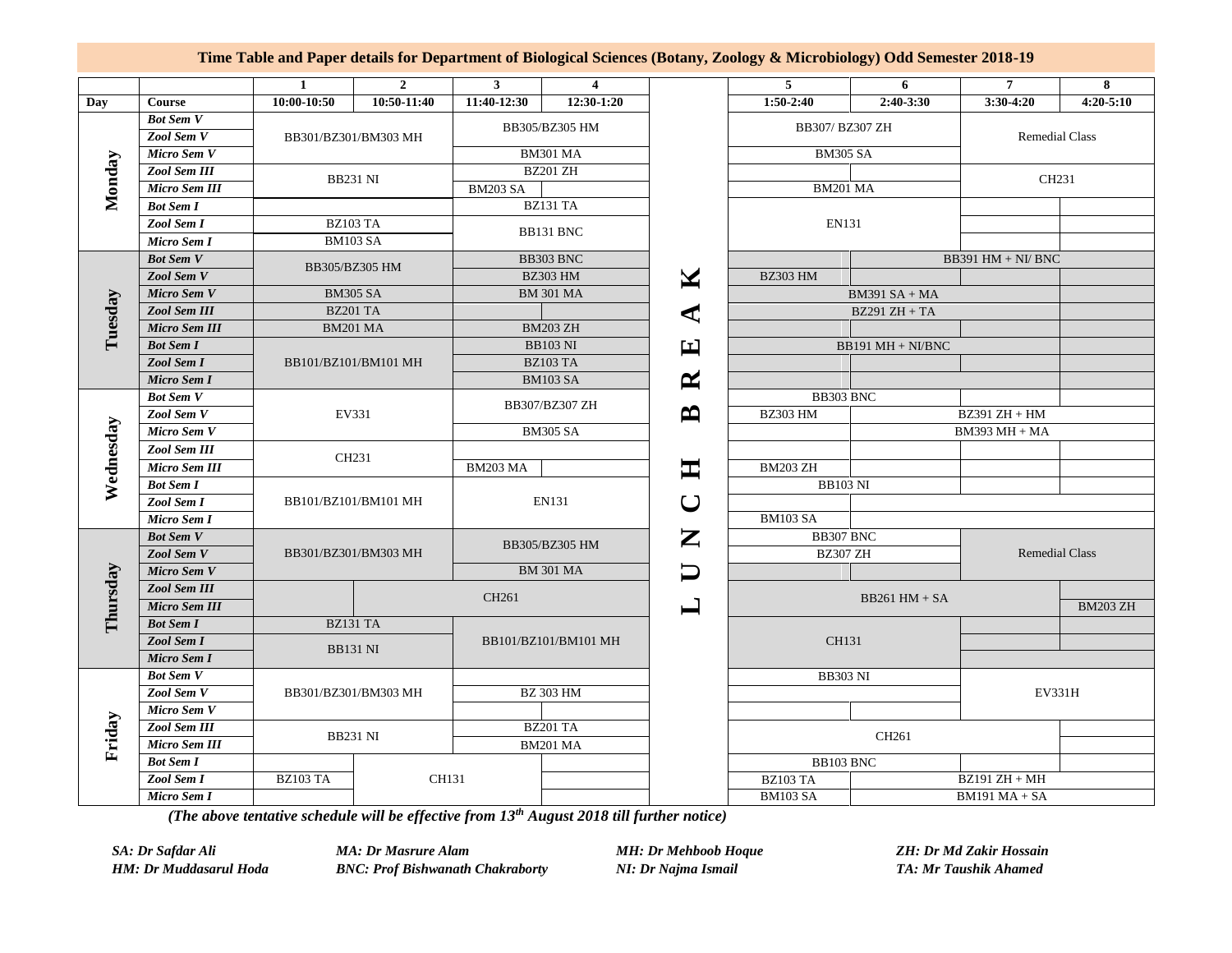## **Time Table and Paper details for Department of Biological Sciences (Botany, Zoology & Microbiology) Odd Semester 2018-19**

|           |                      | 1                        | $\overline{2}$ | $3^{\circ}$                       | $\overline{4}$  |                       | 5 <sub>5</sub>       | 6               | $\overline{7}$        | 8             |
|-----------|----------------------|--------------------------|----------------|-----------------------------------|-----------------|-----------------------|----------------------|-----------------|-----------------------|---------------|
| Day       | Course               | 10:00-10:50              | $10:50-11:40$  | 11:40-12:30                       | 12:30-1:20      |                       | $1:50-2:40$          | 2:40-3:30       | $3:30-4:20$           | $4:20 - 5:10$ |
| Monday    | <b>Bot Sem V</b>     |                          |                | BB305/BZ305 HM                    |                 |                       |                      |                 |                       |               |
|           | Zool Sem V           | BB301/BZ301/BM303 MH     |                |                                   |                 |                       | BB307/ BZ307 ZH      |                 | <b>Remedial Class</b> |               |
|           | Micro Sem V          |                          |                | <b>BM301 MA</b>                   |                 |                       | <b>BM305 SA</b>      |                 |                       |               |
|           | Zool Sem III         | <b>BB231 NI</b>          |                | <b>BZ201 ZH</b>                   |                 |                       | <b>BM201 MA</b>      |                 | CH231                 |               |
|           | Micro Sem III        |                          |                | <b>BM203 SA</b>                   |                 |                       |                      |                 |                       |               |
|           | <b>Bot Sem I</b>     |                          |                | <b>BZ131 TA</b>                   |                 |                       |                      |                 |                       |               |
|           | Zool Sem I           | <b>BZ103 TA</b>          |                | BB131 BNC                         |                 |                       | EN131                |                 |                       |               |
|           | Micro Sem I          | <b>BM103 SA</b>          |                |                                   |                 |                       |                      |                 |                       |               |
| Tuesday   | <b>Bot Sem V</b>     | BB305/BZ305 HM           |                | BB303 BNC                         |                 |                       | $BB391$ HM + NI/ BNC |                 |                       |               |
|           | Zool Sem V           |                          |                | <b>BZ303 HM</b>                   |                 | M                     | <b>BZ303 HM</b>      |                 |                       |               |
|           | Micro Sem V          | <b>BM305 SA</b>          |                | <b>BM 301 MA</b>                  |                 |                       | $BM391 SA + MA$      |                 |                       |               |
|           | Zool Sem III         | <b>BZ201 TA</b>          |                |                                   |                 | ⋖                     | $BZ291 ZH + TA$      |                 |                       |               |
|           | <b>Micro Sem III</b> | <b>BM201 MA</b>          |                | <b>BM203 ZH</b>                   |                 |                       |                      |                 |                       |               |
|           | <b>Bot Sem I</b>     | BB101/BZ101/BM101 MH     |                | <b>BB103 NI</b>                   |                 | 딥                     | BB191 MH + NI/BNC    |                 |                       |               |
|           | Zool Sem I           |                          |                | <b>BZ103 TA</b>                   |                 |                       |                      |                 |                       |               |
|           | Micro Sem I          |                          |                |                                   | <b>BM103 SA</b> | $\boldsymbol{\alpha}$ |                      |                 |                       |               |
|           | <b>Bot Sem V</b>     | EV331                    |                | BB307/BZ307 ZH<br><b>BM305 SA</b> |                 |                       | BB303 BNC            |                 |                       |               |
|           | Zool Sem V           |                          |                |                                   |                 |                       | <b>BZ303 HM</b>      |                 | $BZ391 ZH + HM$       |               |
| Wednesday | Micro Sem V          |                          |                |                                   |                 |                       |                      |                 | $BM393$ MH + MA       |               |
|           | <b>Zool Sem III</b>  | CH231                    |                |                                   |                 |                       |                      |                 |                       |               |
|           | <b>Micro Sem III</b> |                          |                | <b>BM203 MA</b>                   |                 | 工                     | <b>BM203 ZH</b>      |                 |                       |               |
|           | <b>Bot Sem I</b>     |                          |                |                                   |                 |                       | <b>BB103 NI</b>      |                 |                       |               |
|           | Zool Sem I           | BB101/BZ101/BM101 MH     |                | <b>EN131</b>                      |                 | ◡                     |                      |                 |                       |               |
|           | Micro Sem I          |                          |                |                                   |                 |                       | <b>BM103 SA</b>      |                 |                       |               |
|           | <b>Bot Sem V</b>     | BB301/BZ301/BM303 MH     |                | BB305/BZ305 HM                    |                 | Z                     | BB307 BNC            |                 | <b>Remedial Class</b> |               |
|           | Zool Sem V           |                          |                |                                   |                 |                       | <b>BZ307 ZH</b>      |                 |                       |               |
|           | Micro Sem V          |                          |                | <b>BM 301 MA</b>                  |                 |                       |                      |                 |                       |               |
|           | Zool Sem III         |                          |                | CH261                             |                 |                       | $BB261$ HM + SA      |                 |                       |               |
| Thursday  | <b>Micro Sem III</b> |                          |                |                                   |                 |                       |                      |                 | <b>BM203 ZH</b>       |               |
|           | <b>Bot Sem I</b>     | BZ131 TA                 |                | BB101/BZ101/BM101 MH              |                 |                       |                      |                 |                       |               |
|           | Zool Sem I           | <b>BB131 NI</b>          |                |                                   |                 |                       |                      | CH131           |                       |               |
|           | Micro Sem I          |                          |                |                                   |                 |                       |                      |                 |                       |               |
| Friday    | <b>Bot Sem V</b>     | BB301/BZ301/BM303 MH     |                | <b>BZ 303 HM</b>                  |                 |                       | <b>BB303 NI</b>      |                 |                       |               |
|           | Zool Sem V           |                          |                |                                   |                 |                       |                      |                 | EV331H                |               |
|           | Micro Sem V          |                          |                |                                   |                 |                       |                      |                 |                       |               |
|           | Zool Sem III         | <b>BB231 NI</b>          |                | <b>BZ201 TA</b>                   |                 |                       |                      | CH261           |                       |               |
|           | Micro Sem III        |                          |                | <b>BM201 MA</b>                   |                 |                       |                      |                 |                       |               |
|           | <b>Bot Sem I</b>     | CH131<br><b>BZ103 TA</b> |                |                                   |                 |                       | BB103 BNC            |                 |                       |               |
|           | Zool Sem I           |                          |                |                                   |                 |                       | BZ103 TA             | $BZ191 ZH + MH$ |                       |               |
|           | Micro Sem I          |                          |                |                                   |                 |                       | <b>BM103 SA</b>      |                 | $BM191 MA + SA$       |               |

*(The above tentative schedule will be effective from 13th August 2018 till further notice)*

*SA: Dr Safdar Ali MA: Dr Masrure Alam MH: Dr Mehboob Hoque ZH: Dr Md Zakir Hossain*

*HM: Dr Muddasarul Hoda BNC: Prof Bishwanath Chakraborty NI: Dr Najma Ismail TA: Mr Taushik Ahamed*